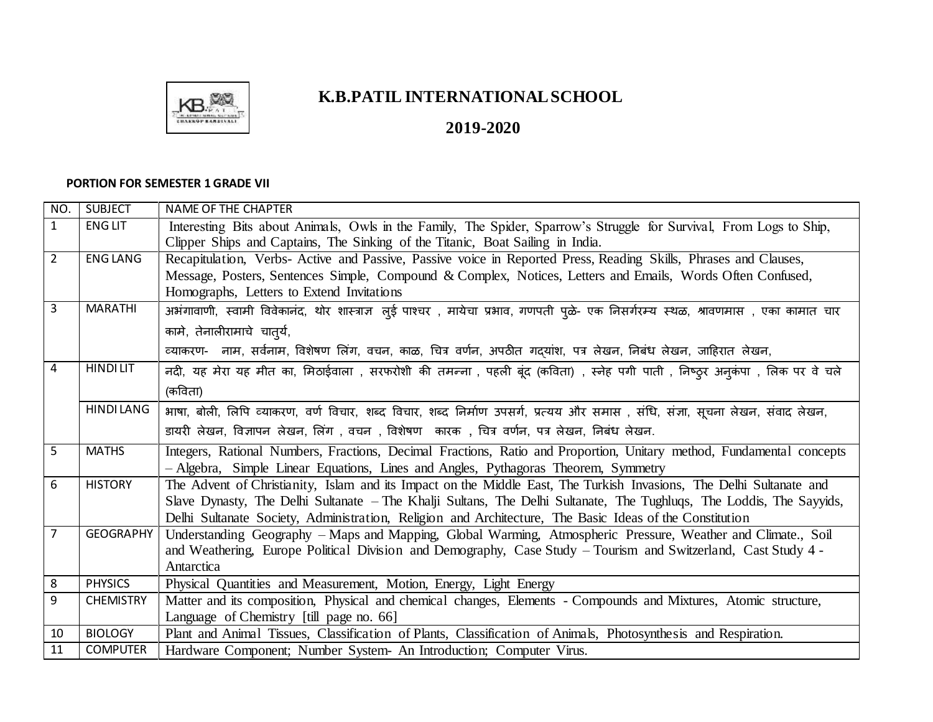

## **K.B.PATIL INTERNATIONAL SCHOOL**

**2019-2020** 

## **PORTION FOR SEMESTER 1 GRADE VII**

| NO.            | <b>SUBJECT</b>   | <b>NAME OF THE CHAPTER</b>                                                                                                         |
|----------------|------------------|------------------------------------------------------------------------------------------------------------------------------------|
| $\mathbf{1}$   | <b>ENG LIT</b>   | Interesting Bits about Animals, Owls in the Family, The Spider, Sparrow's Struggle for Survival, From Logs to Ship,                |
|                |                  | Clipper Ships and Captains, The Sinking of the Titanic, Boat Sailing in India.                                                     |
| $\overline{2}$ | <b>ENG LANG</b>  | Recapitulation, Verbs- Active and Passive, Passive voice in Reported Press, Reading Skills, Phrases and Clauses,                   |
|                |                  | Message, Posters, Sentences Simple, Compound & Complex, Notices, Letters and Emails, Words Often Confused,                         |
|                |                  | Homographs, Letters to Extend Invitations                                                                                          |
| 3              | <b>MARATHI</b>   | अभंगावाणी, स्वामी विवेकानंद, थोर शास्त्राज्ञ लुई पाश्चर , मायेचा प्रभाव, गणपती पूळे- एक निसर्गरम्य स्थळ, श्रावणमास , एका कामात चार |
|                |                  | कामे, तेनालीरामाचे चात् <i>र्य</i> ,                                                                                               |
|                |                  | व्याकरण-   नाम, सर्वनाम, विशेषण लिंग, वचन, काळ, चित्र वर्णन, अपठीत गदयांश, पत्र लेखन, निबंध लेखन, जाहिरात लेखन,                    |
| 4              | <b>HINDILIT</b>  | नदी, यह मेरा यह मीत का, मिठाईवाला , सरफरोशी की तमन्ना , पहली बूंद (कविता) , स्नेह पगी पाती , निष्ठ्र अनुकंपा , लिक पर वे चले       |
|                |                  | (कविता)                                                                                                                            |
|                | <b>HINDILANG</b> | भाषा, बोली, लिपि व्याकरण, वर्ण विचार, शब्द विचार, शब्द निर्माण उपसर्ग, प्रत्यय और समास , संधि, संज्ञा, सूचना लेखन, संवाद लेखन,     |
|                |                  | डायरी लेखन, विज्ञापन लेखन, लिंग , वचन , विशेषण  कारक , चित्र वर्णन, पत्र लेखन, निबंध लेखन.                                         |
| 5              | <b>MATHS</b>     | Integers, Rational Numbers, Fractions, Decimal Fractions, Ratio and Proportion, Unitary method, Fundamental concepts               |
|                |                  | - Algebra, Simple Linear Equations, Lines and Angles, Pythagoras Theorem, Symmetry                                                 |
| 6              | <b>HISTORY</b>   | The Advent of Christianity, Islam and its Impact on the Middle East, The Turkish Invasions, The Delhi Sultanate and                |
|                |                  | Slave Dynasty, The Delhi Sultanate – The Khalji Sultans, The Delhi Sultanate, The Tughluqs, The Loddis, The Sayyids,               |
|                |                  | Delhi Sultanate Society, Administration, Religion and Architecture, The Basic Ideas of the Constitution                            |
| 7              | <b>GEOGRAPHY</b> | Understanding Geography – Maps and Mapping, Global Warming, Atmospheric Pressure, Weather and Climate., Soil                       |
|                |                  | and Weathering, Europe Political Division and Demography, Case Study - Tourism and Switzerland, Cast Study 4 -                     |
|                |                  | Antarctica                                                                                                                         |
| 8              | <b>PHYSICS</b>   | Physical Quantities and Measurement, Motion, Energy, Light Energy                                                                  |
| 9              | <b>CHEMISTRY</b> | Matter and its composition, Physical and chemical changes, Elements - Compounds and Mixtures, Atomic structure,                    |
|                |                  | Language of Chemistry [till page no. 66]                                                                                           |
| 10             | <b>BIOLOGY</b>   | Plant and Animal Tissues, Classification of Plants, Classification of Animals, Photosynthesis and Respiration.                     |
| 11             | <b>COMPUTER</b>  | Hardware Component; Number System- An Introduction; Computer Virus.                                                                |